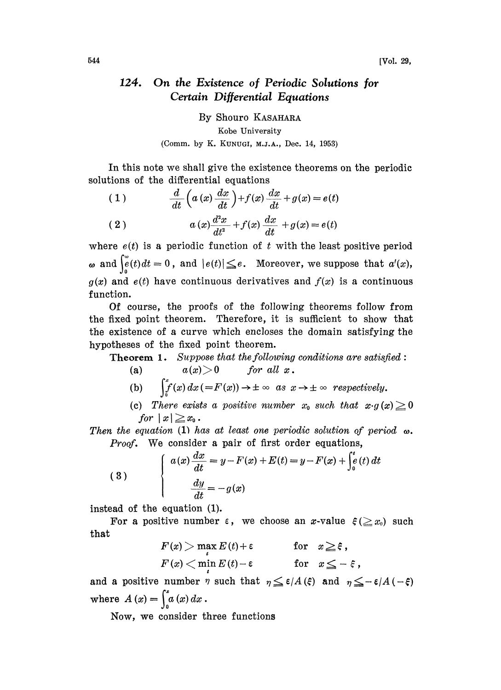## 124. On the Existence of Periodic Solutions for Certain Differential Equations

By Shouro KASAHARA Kobe University (Comm. by K. KUNUGI, M.J.A., Dec. 14, 1953)

In this note we shall give the existence theorems on the periodic solutions of the differential equations

(1) 
$$
\frac{d}{dt}\left(a\left(x\right)\frac{dx}{dt}\right)+f(x)\frac{dx}{dt}+g(x)=e(t)
$$

(2) 
$$
a(x)\frac{d^2x}{dt^2} + f(x)\frac{dx}{dt} + g(x) = e(t)
$$

where  $e(t)$  is a periodic function of t with the least positive period  $\omega$  and  $\int_{e}^{\omega}(t)dt=0$ , and  $|e(t)| \leq e$ . Moreover, we suppose that  $a'(x)$ ,  $g(x)$  and  $e(t)$  have continuous derivatives and  $f(x)$  is a continuous function.

Of course, the proofs of the following theorems follow from the fixed point theorem. Therefore, it is sufficient to show that the existence of a curve which encloses the domain satisfying the hypotheses of the fixed point theorem.

**Theorem 1.** Suppose that the following conditions are satisfied:

(a)  $a(x) > 0$  for all x.

(b) 
$$
\int_0^x f(x) dx (=F(x)) \to \pm \infty \text{ as } x \to \pm \infty \text{ respectively.}
$$
  
(c) There exists a positive number  $x_0$  such that  $x \cdot g(x) \ge 0$ 

for  $|x|\geq x_0$ .

Then the equation (1) has at least one periodic solution of period  $\omega$ . Proof. We consider a pair of first order equations,

(3) 
$$
\begin{cases} a(x) \frac{dx}{dt} = y - F(x) + E(t) = y - F(x) + \int_0^t e(t) dt \\ \frac{dy}{dt} = -g(x) \end{cases}
$$

instead of the equation (1).

For a positive number  $\varepsilon$ , we choose an x-value  $\xi (\geq x_0)$  such<br>  $F(x) > \max E(t) + \varepsilon$  for  $x \geq \xi$ , that

$$
F(x) > \max_{t} E(t) + \varepsilon \quad \text{for} \quad x \geq \varepsilon,
$$
  
 
$$
F(x) < \min_{t} E(t) - \varepsilon \quad \text{for} \quad x \leq -\varepsilon,
$$

and a positive number  $\eta$  such that  $\eta \leq \varepsilon/A$  ( $\xi$ ) and  $\eta \leq -\varepsilon/A$  (- $\xi$ ) where  $A(x) = \int_0^x a(x) dx$ .

Now, we consider three functions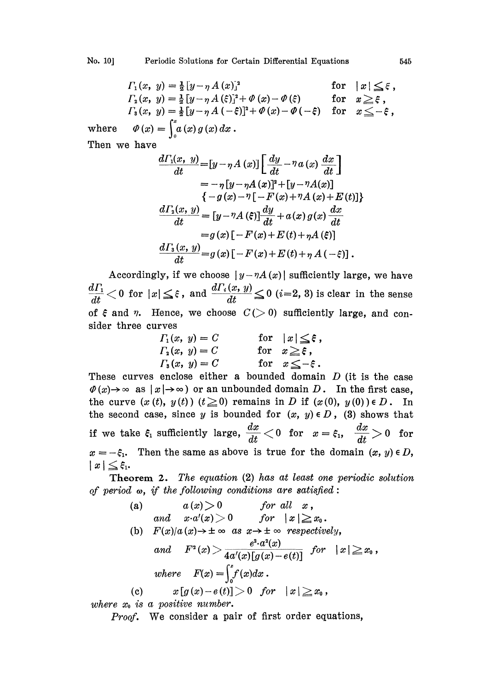$$
F_1(x, y) = \frac{1}{2} [y - \eta A(x)]^2
$$
 for  $|x| \le \xi$ ,  
\n
$$
F_2(x, y) = \frac{1}{2} [y - \eta A(\xi)]^2 + \varPhi(x) - \varPhi(\xi)
$$
 for  $x \ge \xi$ ,  
\n
$$
F_3(x, y) = \frac{1}{2} [y - \eta A(-\xi)]^2 + \varPhi(x) - \varPhi(-\xi)
$$
 for  $x \le -\xi$ ,  
\nwhere  $\varPhi(x) = \int_0^x a(x) g(x) dx$ .  
\nThen we have

Then we have

$$
\frac{d\Gamma_1(x, y)}{dt} = [y - \eta A(x)] \left[ \frac{dy}{dt} - \eta a(x) \frac{dx}{dt} \right]
$$
  
\n
$$
= -\eta [y - \eta A(x)]^2 + [y - \eta A(x)]
$$
  
\n
$$
\{-g(x) - \eta [-F(x) + \eta A(x) + E(t)]\}
$$
  
\n
$$
\frac{d\Gamma_2(x, y)}{dt} = [y - \eta A(\xi)] \frac{dy}{dt} + a(x) g(x) \frac{dx}{dt}
$$
  
\n
$$
= g(x) [-F(x) + E(t) + \eta A(\xi)]
$$
  
\n
$$
\frac{d\Gamma_3(x, y)}{dt} = g(x) [-F(x) + E(t) + \eta A(-\xi)].
$$

Accordingly, if we choose  $|y-\eta A(x)|$  sufficiently large, we have  $\frac{d\varGamma_{1}}{dt}$   $<$  0 for  $|x|\leq \varepsilon$  , and  $\frac{d\varGamma_{i}(x, \, y)}{dt}$   $\leq$  0 ( $i$  = 2, 3) is clear in the sense of  $\xi$  and  $\eta$ . Hence, we choose  $C(>0)$  sufficiently large, and consider three curves

$$
F_1(x, y) = C
$$
 for  $|x| \le \xi$ ,  
\n
$$
F_2(x, y) = C
$$
 for  $x \ge \xi$ ,  
\n
$$
F_3(x, y) = C
$$
 for  $x \le -\xi$ .

These curves enclose either a bounded domain  $D$  (it is the case  $\varPhi(x) \to \infty$  as  $|x| \to \infty$ ) or an unbounded domain D. In the first case, the curve  $(x(t), y(t))$   $(t \ge 0)$  remains in D if  $(x(0), y(0)) \in D$ . In the second case, since y is bounded for  $(x, y) \in D$ , (3) shows that if we take  $\xi_1$  sufficiently large,  $\frac{dx}{dt} < 0$  for  $x = \xi_1$ ,  $\frac{dx}{dt} > 0$  for  $x = -\xi_1$ . Then the same as above is true for the domain  $(x, y) \in D$ ,  $|x| \leq \xi_1$ .<br>Theorem 2. The equation (2) has at least one periodic solu  $x = -\xi_1$ . Then the same as above is true for the domain  $(x, y) \in D$ ,  $|x| \leq \xi_1$ 

Theorem 2. The equation (2) has at least one periodic solution

of period 
$$
\omega
$$
, if the following conditions are satisfied:  
\n(a)  $a(x) > 0$  for all  $x$ ,  
\nand  $x \cdot a'(x) > 0$  for  $|x| \ge x_0$ .  
\n(b)  $F(x)/a(x) \rightarrow \pm \infty$  as  $x \rightarrow \pm \infty$  respectively,  
\nand  $F^2(x) > \frac{e^2 \cdot a^2(x)}{4a'(x)[g(x) - e(t)]}$  for  $|x| \ge x_0$ ,  
\nwhere  $F(x) = \int_0^x f(x) dx$ .  
\n(c)  $x[g(x) - e(t)] > 0$  for  $|x| \ge x_0$ ,

where  $x_0$  is a positive number.

Proof. We consider a pair of first order equations,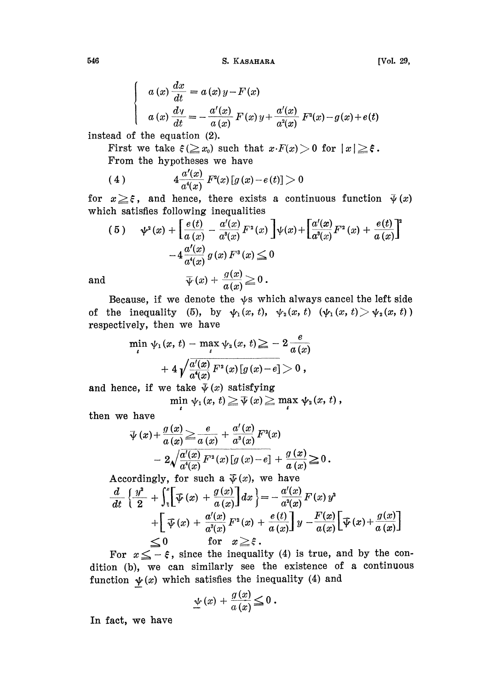546 S. KASAHARA [Vol. 29,

$$
a(x)\frac{dx}{dt} = a(x)y - F(x)
$$
  

$$
a(x)\frac{dy}{dt} = -\frac{a'(x)}{a(x)}F(x)y + \frac{a'(x)}{a^2(x)}F^2(x) - g(x) + e(t)
$$

instead of the equation (2).

First we take  $\xi(\geq x_0)$  such that  $x \cdot F(x) > 0$  for  $|x| \geq \xi$ . From the hypotheses we have

(4) 
$$
4 \frac{a'(x)}{a^4(x)} F^2(x) [g(x) - e(t)] > 0
$$

for  $x \geq \xi$ , and hence, there exists a continuous function  $\bar{\psi}(x)$ which satisfies following inequalities

(5) 
$$
\psi^2(x) + \left[\frac{e(t)}{a(x)} - \frac{a'(x)}{a^3(x)}F^2(x)\right]\psi(x) + \left[\frac{a'(x)}{a^3(x)}F^2(x) + \frac{e(t)}{a(x)}\right]^2
$$

$$
-4\frac{a'(x)}{a^4(x)}g(x)F^3(x) \le 0
$$
  
1 
$$
\overline{\psi}(x) + \frac{g(x)}{a(x)} \ge 0.
$$

and

Because, if we denote the  $\psi$ s which always cancel the left side of the inequality (5), by  $\psi_1(x, t)$ ,  $\psi_2(x, t)$   $(\psi_1(x, t) > \psi_2(x, t))$ respectively, then we have

$$
\min_{t} \psi_1(x, t) - \max_{t} \psi_2(x, t) \geq -2 \frac{e}{a(x)} + 4 \sqrt{\frac{a'(x)}{a(x)} F^2(x) [g(x) - e]} > 0,
$$

and hence, if we take  $\bar{\psi}(x)$  satisfying

 $\min_{t} \psi_1(x, t) \geq \overline{\psi}(x) \geq \max_{t} \psi_2(x, t),$ 

then we have

have  
\n
$$
\overline{\psi}(x) + \frac{g(x)}{a(x)} \ge \frac{e}{a(x)} + \frac{a'(x)}{a^3(x)} F^2(x)
$$
\n
$$
- 2\sqrt{\frac{a'(x)}{a^4(x)}} F^2(x) [g(x) - e] + \frac{g(x)}{a(x)} \ge 0.
$$
\n
$$
\text{ordinaryly, for such a } \overline{\psi}(x), \text{ we have}
$$
\n
$$
\frac{g^2}{a^4(x)} + \left(\frac{g(x)}{a(x)} + \frac{g(x)}{a(x)}\right) dx \bigg|_{x = -\frac{a'(x)}{a(x)}} F(x).
$$

Accordingly, for such a 
$$
\overline{\psi}(x)
$$
, we have  
\n
$$
\frac{d}{dt} \left\{ \frac{y^2}{2} + \int_{\xi}^{x} \left[ \overline{\psi}(x) + \frac{g(x)}{a(x)} \right] dx \right\} = -\frac{a'(x)}{a^2(x)} F(x) y^2
$$
\n
$$
+ \left[ \overline{\psi}(x) + \frac{a'(x)}{a^3(x)} F^2(x) + \frac{e(t)}{a(x)} \right] y - \frac{F(x)}{a(x)} \left[ \overline{\psi}(x) + \frac{g(x)}{a(x)} \right]
$$
\n
$$
\leq 0 \quad \text{for } x \geq \xi.
$$
\nFor  $x \leq -\xi$ , since the inequality (4) is true, and by the co-

 $\leq$  -  $\xi$ , since the inequality (4) is true, and by the con-<br>we can similarly see the existence of a continuous<br>(x) which satisfies the inequality (4) and<br> $\psi(x) + \frac{g(x)}{g(x)} \leq 0$ . dition (b), we can similarly see the existence of a continuous function  $\psi(x)$  which satisfies the inequality (4) and

$$
\underline{\psi}(x) + \frac{g(x)}{a(x)} \leq 0.
$$

In fact, we have